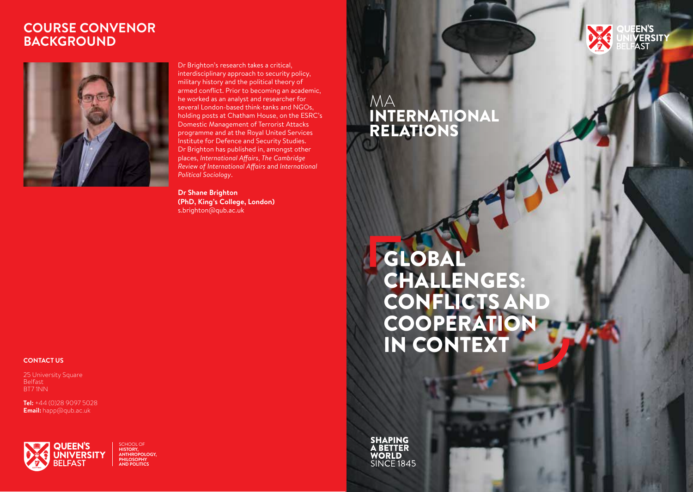#### **COURSE CONVENOR BACKGROUND**



Dr Brighton's research takes a critical, interdisciplinary approach to security policy, military history and the political theory of armed conflict. Prior to becoming an academic, he worked as an analyst and researcher for several London-based think-tanks and NGOs, holding posts at Chatham House, on the ESRC's Domestic Management of Terrorist Attacks programme and at the Royal United Services Institute for Defence and Security Studies. Dr Brighton has published in, amongst other places, *International Affairs*, *The Cambridge Review of International Affairs* and *International Political Sociology*.

**Dr Shane Brighton (PhD, King's College, London)**  s.brighton@qub.ac.uk

### MA INTERNATIONAL RELATIONS

GLOBAL CHALLENGES: CONFLICTS AND **COOPERATION** IN CONTEXT

.<br>VERSIT

**SHAPING A BETTER WORLD** SINCE 1845

#### **CONTACT US**

25 University Square Belfast BT7 1NN

**Tel:** +44 (0)28 9097 5028 **Email:** happ@qub.ac.uk



SCHOOL OF **HISTORY, ANTHROPOLOGY, PHILOSOPHY AND POLITICS**